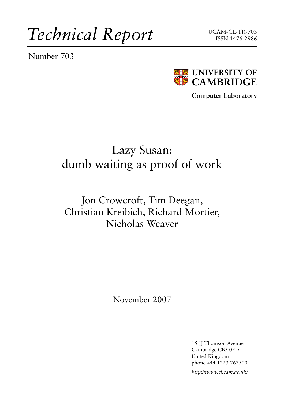*Technical Report*

Number 703





**Computer Laboratory**

# Lazy Susan: dumb waiting as proof of work

# Jon Crowcroft, Tim Deegan, Christian Kreibich, Richard Mortier, Nicholas Weaver

November 2007

15 JJ Thomson Avenue Cambridge CB3 0FD United Kingdom phone +44 1223 763500

*http://www.cl.cam.ac.uk/*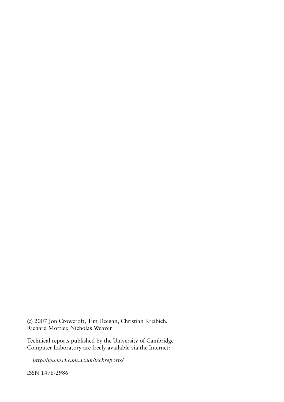c 2007 Jon Crowcroft, Tim Deegan, Christian Kreibich, Richard Mortier, Nicholas Weaver

Technical reports published by the University of Cambridge Computer Laboratory are freely available via the Internet:

*http://www.cl.cam.ac.uk/techreports/*

ISSN 1476-2986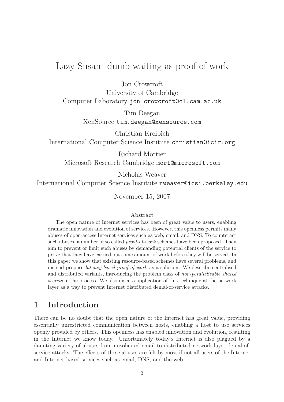# Lazy Susan: dumb waiting as proof of work

Jon Crowcroft

University of Cambridge

Computer Laboratory jon.crowcroft@cl.cam.ac.uk

Tim Deegan XenSource tim.deegan@xensource.com

Christian Kreibich International Computer Science Institute christian@icir.org

Richard Mortier Microsoft Research Cambridge mort@microsoft.com

Nicholas Weaver

International Computer Science Institute nweaver@icsi.berkeley.edu

November 15, 2007

#### Abstract

The open nature of Internet services has been of great value to users, enabling dramatic innovation and evolution of services. However, this openness permits many abuses of open-access Internet services such as web, email, and DNS. To counteract such abuses, a number of so called *proof-of-work* schemes have been proposed. They aim to prevent or limit such abuses by demanding potential clients of the service to prove that they have carried out some amount of work before they will be served. In this paper we show that existing resource-based schemes have several problems, and instead propose latency-based proof-of-work as a solution. We describe centralised and distributed variants, introducing the problem class of non-parallelisable shared secrets in the process. We also discuss application of this technique at the network layer as a way to prevent Internet distributed denial-of-service attacks.

# 1 Introduction

There can be no doubt that the open nature of the Internet has great value, providing essentially unrestricted communication between hosts, enabling a host to use services openly provided by others. This openness has enabled innovation and evolution, resulting in the Internet we know today. Unfortunately today's Internet is also plagued by a daunting variety of abuses from unsolicited email to distributed network-layer denial-ofservice attacks. The effects of these abuses are felt by most if not all users of the Internet and Internet-based services such as email, DNS, and the web.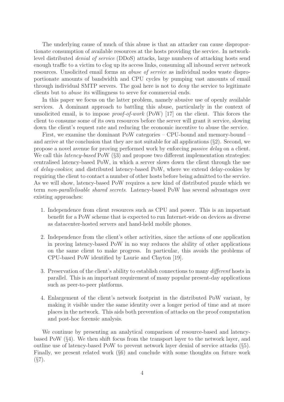The underlying cause of much of this abuse is that an attacker can cause disproportionate consumption of available resources at the hosts providing the service. In networklevel distributed denial of service (DDoS) attacks, large numbers of attacking hosts send enough traffic to a victim to clog up its access links, consuming all inbound server network resources. Unsolicited email forms an abuse of service as individual nodes waste disproportionate amounts of bandwidth and CPU cycles by pumping vast amounts of email through individual SMTP servers. The goal here is not to deny the service to legitimate clients but to abuse its willingness to serve for commercial ends.

In this paper we focus on the latter problem, namely abusive use of openly available services. A dominant approach to battling this abuse, particularly in the context of unsolicited email, is to impose *proof-of-work* (PoW) [17] on the client. This forces the client to consume some of its own resources before the server will grant it service, slowing down the client's request rate and reducing the economic incentive to abuse the service.

First, we examine the dominant PoW categories – CPU-bound and memory-bound – and arrive at the conclusion that they are not suitable for all applications  $(\S 2)$ . Second, we propose a novel avenue for proving performed work by enforcing passive delay on a client. We call this *latency-based* PoW (§3) and propose two different implementation strategies: centralised latency-based PoW, in which a server slows down the client through the use of delay-cookies; and distributed latency-based PoW, where we extend delay-cookies by requiring the client to contact a number of other hosts before being admitted to the service. As we will show, latency-based PoW requires a new kind of distributed puzzle which we term non-parallelisable shared secrets. Latency-based PoW has several advantages over existing approaches:

- 1. Independence from client resources such as CPU and power. This is an important benefit for a PoW scheme that is expected to run Internet-wide on devices as diverse as datacenter-hosted servers and hand-held mobile phones.
- 2. Independence from the client's other activities, since the actions of one application in proving latency-based PoW in no way reduces the ability of other applications on the same client to make progress. In particular, this avoids the problems of CPU-based PoW identified by Laurie and Clayton [19].
- 3. Preservation of the client's ability to establish connections to many different hosts in parallel. This is an important requirement of many popular present-day applications such as peer-to-peer platforms.
- 4. Enlargement of the client's network footprint in the distributed PoW variant, by making it visible under the same identity over a longer period of time and at more places in the network. This aids both prevention of attacks on the proof computation and post-hoc forensic analysis.

We continue by presenting an analytical comparison of resource-based and latencybased PoW (§4). We then shift focus from the transport layer to the network layer, and outline use of latency-based PoW to prevent network layer denial of service attacks (§5). Finally, we present related work (§6) and conclude with some thoughts on future work  $(S7)$ .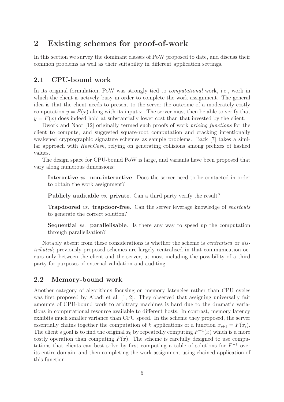## 2 Existing schemes for proof-of-work

In this section we survey the dominant classes of PoW proposed to date, and discuss their common problems as well as their suitability in different application settings.

### 2.1 CPU-bound work

In its original formulation, PoW was strongly tied to *computational* work, i.e., work in which the client is actively busy in order to complete the work assignment. The general idea is that the client needs to present to the server the outcome of a moderately costly computation  $y = F(x)$  along with its input x. The server must then be able to verify that  $y = F(x)$  does indeed hold at substantially lower cost than that invested by the client.

Dwork and Naor [12] originally termed such proofs of work pricing functions for the client to compute, and suggested square-root computation and cracking intentionally weakened cryptographic signature schemes as sample problems. Back [7] takes a similar approach with HashCash, relying on generating collisions among prefixes of hashed values.

The design space for CPU-bound PoW is large, and variants have been proposed that vary along numerous dimensions:

Interactive vs. non-interactive. Does the server need to be contacted in order to obtain the work assignment?

Publicly auditable *vs.* private. Can a third party verify the result?

**Trapdoored vs. trapdoor-free.** Can the server leverage knowledge of *shortcuts* to generate the correct solution?

Sequential vs. parallelisable. Is there any way to speed up the computation through parallelisation?

Notably absent from these considerations is whether the scheme is centralised or distributed; previously proposed schemes are largely centralised in that communication occurs only between the client and the server, at most including the possibility of a third party for purposes of external validation and auditing.

#### 2.2 Memory-bound work

Another category of algorithms focusing on memory latencies rather than CPU cycles was first proposed by Abadi et al. [1, 2]. They observed that assigning universally fair amounts of CPU-bound work to arbitrary machines is hard due to the dramatic variations in computational resource available to different hosts. In contrast, memory latency exhibits much smaller variance than CPU speed. In the scheme they proposed, the server essentially chains together the computation of k applications of a function  $x_{i+1} = F(x_i)$ . The client's goal is to find the original  $x_0$  by repeatedly computing  $F^{-1}(x)$  which is a more costly operation than computing  $F(x)$ . The scheme is carefully designed to use computations that clients can best solve by first computing a table of solutions for  $F^{-1}$  over its entire domain, and then completing the work assignment using chained application of this function.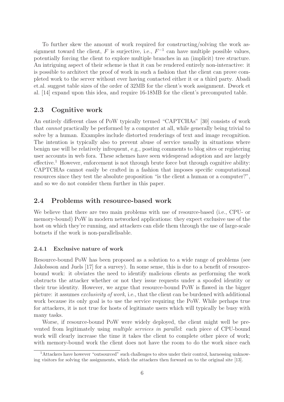To further skew the amount of work required for constructing/solving the work assignment toward the client, F is surjective, i.e.,  $F^{-1}$  can have multiple possible values, potentially forcing the client to explore multiple branches in an (implicit) tree structure. An intriguing aspect of their scheme is that it can be rendered entirely non-interactive: it is possible to architect the proof of work in such a fashion that the client can prove completed work to the server without ever having contacted either it or a third party. Abadi et.al. suggest table sizes of the order of 32MB for the client's work assignment. Dwork et al. [14] expand upon this idea, and require 16-18MB for the client's precomputed table.

#### 2.3 Cognitive work

An entirely different class of PoW typically termed "CAPTCHAs" [30] consists of work that cannot practically be performed by a computer at all, while generally being trivial to solve by a human. Examples include distorted renderings of text and image recognition. The intention is typically also to prevent abuse of service usually in situations where benign use will be relatively infrequent, e.g., posting comments to blog sites or registering user accounts in web fora. These schemes have seen widespread adoption and are largely  $effective.<sup>1</sup> However, enforcement is not through brute force but through cognitive ability:$ CAPTCHAs cannot easily be crafted in a fashion that imposes specific computational resources since they test the absolute proposition "is the client a human or a computer?", and so we do not consider them further in this paper.

#### 2.4 Problems with resource-based work

We believe that there are two main problems with use of resource-based (i.e., CPU- or memory-bound) PoW in modern networked applications: they expect exclusive use of the host on which they're running, and attackers can elide them through the use of large-scale botnets if the work is non-parallelisable.

#### 2.4.1 Exclusive nature of work

Resource-bound PoW has been proposed as a solution to a wide range of problems (see Jakobsson and Juels [17] for a survey). In some sense, this is due to a benefit of resourcebound work: it obviates the need to identify malicious clients as performing the work obstructs the attacker whether or not they issue requests under a spoofed identity or their true identity. However, we argue that resource-bound PoW is flawed in the bigger picture: it assumes exclusivity of work, i.e., that the client can be burdened with additional work because its only goal is to use the service requiring the PoW. While perhaps true for attackers, it is not true for hosts of legitimate users which will typically be busy with many tasks.

Worse, if resource-bound PoW were widely deployed, the client might well be prevented from legitimately using multiple services in parallel: each piece of CPU-bound work will clearly increase the time it takes the client to complete other piece of work; with memory-bound work the client does not have the room to do the work since each

<sup>1</sup>Attackers have however "outsourced" such challenges to sites under their control, harnessing unknowing visitors for solving the assignments, which the attackers then forward on to the original site [13].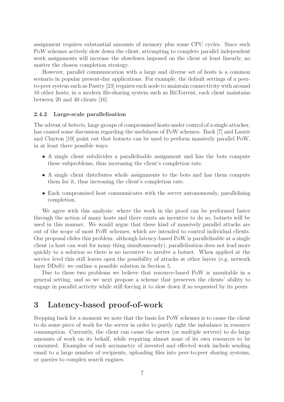assignment requires substantial amounts of memory plus some CPU cycles. Since such PoW schemes actively slow down the client, attempting to complete parallel independent work assignments will increase the slowdown imposed on the client at least linearly, no matter the chosen completion strategy.

However, parallel communication with a large and diverse set of hosts is a common scenario in popular present-day applications. For example, the default settings of a peerto-peer system such as Pastry [23] requires each node to maintain connectivity with around 16 other hosts; in a modern file-sharing system such as BitTorrent, each client maintains between 20 and 40 clients [16].

#### 2.4.2 Large-scale parallelisation

The advent of botnets, large groups of compromised hosts under control of a single attacker, has caused some discussion regarding the usefulness of PoW schemes. Back [7] and Laurie and Clayton [19] point out that botnets can be used to perform massively parallel PoW, in at least three possible ways:

- A single client subdivides a parallelisable assignment and has the bots compute these subproblems, thus increasing the client's completion rate.
- A single client distributes whole assignments to the bots and has them compute them for it, thus increasing the client's completion rate.
- Each compromised host communicates with the server autonomously, parallelising completion.

We agree with this analysis: where the work in the proof can be performed faster through the action of many hosts and there exists an incentive to do so, botnets will be used in this manner. We would argue that these kind of massively parallel attacks are out of the scope of most PoW schemes, which are intended to control individual clients. Our proposal elides this problem: although latency-based PoW is parallelisable at a single client (a host can wait for many thing simultaneously), parallelisation does not lead more quickly to a solution so there is no incentive to involve a botnet. When applied at the service level this still leaves open the possibility of attacks at other layers (e.g. network layer DDoS): we outline a possible solution in Section 5.

Due to these two problems we believe that resource-based PoW is unsuitable in a general setting, and so we next propose a scheme that preserves the clients' ability to engage in parallel activity while still forcing it to slow down if so requested by its peers.

# 3 Latency-based proof-of-work

Stepping back for a moment we note that the basis for PoW schemes is to cause the client to do some piece of work for the server in order to partly right the imbalance in resource consumption. Currently, the client can cause the server (or multiple servers) to do large amounts of work on its behalf, while requiring almost none of its own resources to be consumed. Examples of such asymmetry of invested and effected work include sending email to a large number of recipients, uploading files into peer-to-peer sharing systems, or queries to complex search engines.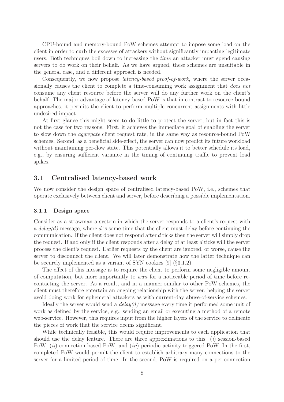CPU-bound and memory-bound PoW schemes attempt to impose some load on the client in order to curb the excesses of attackers without significantly impacting legitimate users. Both techniques boil down to increasing the time an attacker must spend causing servers to do work on their behalf. As we have argued, these schemes are unsuitable in the general case, and a different approach is needed.

Consequently, we now propose latency-based proof-of-work, where the server occasionally causes the client to complete a time-consuming work assignment that *does not* consume any client resource before the server will do any further work on the client's behalf. The major advantage of latency-based PoW is that in contrast to resource-bound approaches, it permits the client to perform multiple concurrent assignments with little undesired impact.

At first glance this might seem to do little to protect the server, but in fact this is not the case for two reasons. First, it achieves the immediate goal of enabling the server to slow down the aggregate client request rate, in the same way as resource-bound PoW schemes. Second, as a beneficial side-effect, the server can now predict its future workload without maintaining per-flow state. This potentially allows it to better schedule its load, e.g., by ensuring sufficient variance in the timing of continuing traffic to prevent load spikes.

#### 3.1 Centralised latency-based work

We now consider the design space of centralised latency-based PoW, i.e., schemes that operate exclusively between client and server, before describing a possible implementation.

#### 3.1.1 Design space

Consider as a strawman a system in which the server responds to a client's request with a  $delay(d)$  message, where d is some time that the client must delay before continuing the communication. If the client does not respond after  $d$  ticks then the server will simply drop the request. If and only if the client responds after a delay of at least d ticks will the server process the client's request. Earlier requests by the client are ignored, or worse, cause the server to disconnect the client. We will later demonstrate how the latter technique can be securely implemented as a variant of SYN cookies [9] (§3.1.2).

The effect of this message is to require the client to perform some negligible amount of computation, but more importantly to wait for a noticeable period of time before recontacting the server. As a result, and in a manner similar to other PoW schemes, the client must therefore entertain an ongoing relationship with the server, helping the server avoid doing work for ephemeral attackers as with current-day abuse-of-service schemes.

Ideally the server would send a  $delay(d)$  message every time it performed some unit of work as defined by the service, e.g., sending an email or executing a method of a remote web-service. However, this requires input from the higher layers of the service to delineate the pieces of work that the service deems significant.

While technically feasible, this would require improvements to each application that should use the delay feature. There are three approximations to this: (i) session-based PoW, *(ii)* connection-based PoW, and *(iii)* periodic activity-triggered PoW. In the first, completed PoW would permit the client to establish arbitrary many connections to the server for a limited period of time. In the second, PoW is required on a per-connection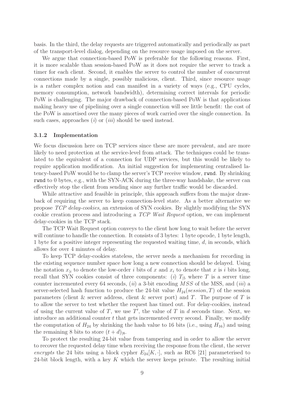basis. In the third, the delay requests are triggered automatically and periodically as part of the transport-level dialog, depending on the resource usage imposed on the server.

We argue that connection-based PoW is preferable for the following reasons. First, it is more scalable than session-based PoW as it does not require the server to track a timer for each client. Second, it enables the server to control the number of concurrent connections made by a single, possibly malicious, client. Third, since resource usage is a rather complex notion and can manifest in a variety of ways (e.g., CPU cycles, memory consumption, network bandwidth), determining correct intervals for periodic PoW is challenging. The major drawback of connection-based PoW is that applications making heavy use of pipelining over a single connection will see little benefit: the cost of the PoW is amortised over the many pieces of work carried over the single connection. In such cases, approaches  $(i)$  or  $(iii)$  should be used instead.

#### 3.1.2 Implementation

We focus discussion here on TCP services since these are more prevalent, and are more likely to need protection at the service-level from attack. The techniques could be translated to the equivalent of a connection for UDP services, but this would be likely to require application modification. An initial suggestion for implementing centralised latency-based PoW would be to clamp the server's TCP receive window, rwnd. By shrinking rwnd to 0 bytes, e.g., with the SYN-ACK during the three-way handshake, the server can effectively stop the client from sending since any further traffic would be discarded.

While attractive and feasible in principle, this approach suffers from the major drawback of requiring the server to keep connection-level state. As a better alternative we propose TCP delay-cookies, an extension of SYN cookies. By slightly modifying the SYN cookie creation process and introducing a TCP Wait Request option, we can implement delay-cookies in the TCP stack.

The TCP Wait Request option conveys to the client how long to wait before the server will continue to handle the connection. It consists of 3 bytes: 1 byte opcode, 1 byte length, 1 byte for a positive integer representing the requested waiting time,  $d$ , in seconds, which allows for over 4 minutes of delay.

To keep TCP delay-cookies stateless, the server needs a mechanism for recording in the existing sequence number space how long a new connection should be delayed. Using the notation  $x_{ii}$  to denote the low-order i bits of x and  $x_i$  to denote that x is i bits long, recall that SYN cookies consist of three components: (i)  $T_{15}$  where T is a server time counter incremented every 64 seconds,  $(ii)$  a 3-bit encoding  $MSS$  of the MSS, and  $(iii)$  a server-selected hash function to produce the 24-bit value  $H_{24}(session, T)$  of the session parameters (client  $\&$  server address, client  $\&$  server port) and T. The purpose of T is to allow the server to test whether the request has timed out. For delay-cookies, instead of using the current value of  $T$ , we use  $T'$ , the value of  $T$  in  $d$  seconds time. Next, we introduce an additional counter  $t$  that gets incremented every second. Finally, we modify the computation of  $H_{24}$  by shrinking the hash value to 16 bits (i.e., using  $H_{16}$ ) and using the remaining 8 bits to store  $(t + d)_{8}$ .

To protect the resulting 24-bit value from tampering and in order to allow the server to recover the requested delay time when receiving the response from the client, the server encrypts the 24 bits using a block cypher  $E_{24}[K, \cdot]$ , such as RC6 [21] parameterised to 24-bit block length, with a key K which the server keeps private. The resulting initial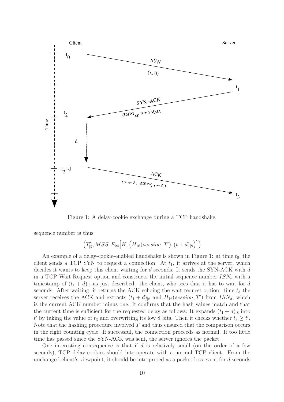

Figure 1: A delay-cookie exchange during a TCP handshake.

sequence number is thus:

$$
\left(T'_{|5},MSS,E_{24}\Big[K,\Big(H_{16}(session,T'),(t+d)_{|8}\Big)\Big]\right)
$$

An example of a delay-cookie-enabled handshake is shown in Figure 1: at time  $t_0$ , the client sends a TCP SYN to request a connection. At  $t_1$ , it arrives at the server, which decides it wants to keep this client waiting for d seconds. It sends the SYN-ACK with d in a TCP Wait Request option and constructs the initial sequence number  $ISN_d$  with a timestamp of  $(t_1 + d)_{8}$  as just described. the client, who sees that it has to wait for d seconds. After waiting, it returns the ACK echoing the wait request option. time  $t_3$  the server receives the ACK and extracts  $(t_1 + d)_{|8}$  and  $H_{16}(session, T')$  from  $ISN_d$ , which is the current ACK number minus one. It confirms that the hash values match and that the current time is sufficient for the requested delay as follows: It expands  $(t_1 + d)_{8}$  into t' by taking the value of  $t_3$  and overwriting its low 8 bits. Then it checks whether  $t_3 \geq t'$ . Note that the hashing procedure involved  $T$  and thus ensured that the comparison occurs in the right counting cycle. If successful, the connection proceeds as normal. If too little time has passed since the SYN-ACK was sent, the server ignores the packet.

One interesting consequence is that if  $d$  is relatively small (on the order of a few seconds), TCP delay-cookies should interoperate with a normal TCP client. From the unchanged client's viewpoint, it should be interpreted as a packet loss event for d seconds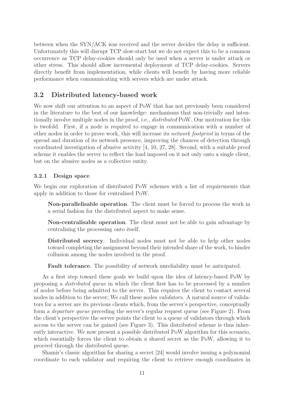between when the SYN/ACK was received and the server decides the delay is sufficient. Unfortunately this will disrupt TCP slow-start but we do not expect this to be a common occurrence as TCP delay-cookies should only be used when a server is under attack or other stress. This should allow incremental deployment of TCP delay-cookies. Servers directly benefit from implementation, while clients will benefit by having more reliable performance when communicating with servers which are under attack.

### 3.2 Distributed latency-based work

We now shift our attention to an aspect of PoW that has not previously been considered in the literature to the best of our knowledge: mechanisms that non-trivially and intentionally involve multiple nodes in the proof, i.e., distributed PoW. Our motivation for this is twofold. First, if a node is required to engage in communication with a number of other nodes in order to prove work, this will increase its network footprint in terms of the spread and duration of its network presence, improving the chances of detection through coordinated investigation of abusive activity [4, 10, 27, 28]. Second, with a suitable proof scheme it enables the server to reflect the load imposed on it not only onto a single client, but on the abusive nodes as a collective entity.

#### 3.2.1 Design space

We begin our exploration of distributed PoW schemes with a list of requirements that apply in addition to those for centralised PoW.

Non-parallelisable operation. The client must be forced to process the work in a serial fashion for the distributed aspect to make sense.

Non-centralisable operation. The client must not be able to gain advantage by centralising the processing onto itself.

Distributed secrecy. Individual nodes must not be able to help other nodes toward completing the assignment beyond their intended share of the work, to hinder collusion among the nodes involved in the proof.

Fault tolerance. The possibility of network unreliability must be anticipated.

As a first step toward these goals we build upon the idea of latency-based PoW by proposing a distributed queue in which the client first has to be processed by a number of nodes before being admitted to the server. This requires the client to contact several nodes in addition to the server; We call these nodes *validators*. A natural source of validators for a server are its previous clients which, from the server's perspective, conceptually form a departure queue preceding the server's regular request queue (see Figure 2). From the client's perspective the server points the client to a queue of validators through which access to the server can be gained (see Figure 3). This distributed scheme is thus inherently interactive. We now present a possible distributed PoW algorithm for this scenario, which essentially forces the client to obtain a shared secret as the PoW, allowing it to proceed through the distributed queue.

Shamir's classic algorithm for sharing a secret [24] would involve issuing a polynomial coordinate to each validator and requiring the client to retrieve enough coordinates in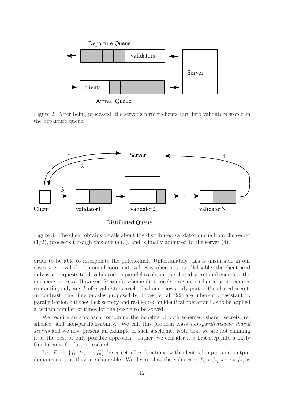

Arrival Queue

Figure 2: After being processed, the server's former clients turn into validators stored in the departure queue.



Distributed Queue

Figure 3: The client obtains details about the distributed validator queue from the server  $(1/2)$ , proceeds through this queue  $(3)$ , and is finally admitted to the server  $(4)$ .

order to be able to interpolate the polynomial. Unfortunately, this is unsuitable in our case as retrieval of polynomial coordinate values is inherently parallelisable: the client need only issue requests to all validators in parallel to obtain the shared secret and complete the queueing process. However, Shamir's scheme does nicely provide resilience as it requires contacting only any k of n validators, each of whom knows only part of the shared secret. In contrast, the time puzzles proposed by Rivest et al. [22] are inherently resistant to parallelisation but they lack secrecy and resilience: an identical operation has to be applied a certain number of times for the puzzle to be solved.

We require an approach combining the benefits of both schemes: shared secrets, resilience, and non-parallelisability. We call this problem class non-parallelisable shared secrets and we now present an example of such a scheme. Note that we are not claiming it as the best or only possible approach – rather, we consider it a first step into a likely fruitful area for future research.

Let  $F = \{f_1, f_2, \ldots, f_n\}$  be a set of n functions with identical input and output domains so that they are chainable. We desire that the value  $y = f_{s_1} \circ f_{s_2} \circ \cdots \circ f_{s_n}$  is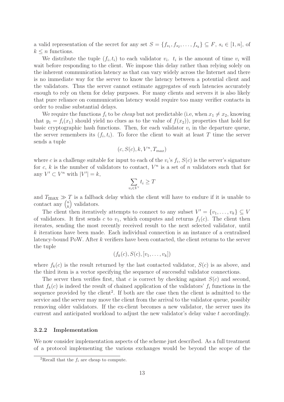a valid representation of the secret for any set  $S = \{f_{s_1}, f_{s_2}, \ldots, f_{s_k}\} \subseteq F$ ,  $s_i \in [1, n]$ , of  $k \leq n$  functions.

We distribute the tuple  $(f_i, t_i)$  to each validator  $v_i$ .  $t_i$  is the amount of time  $v_i$  will wait before responding to the client. We impose this delay rather than relying solely on the inherent communication latency as that can vary widely across the Internet and there is no immediate way for the server to know the latency between a potential client and the validators. Thus the server cannot estimate aggregates of such latencies accurately enough to rely on them for delay purposes. For many clients and servers it is also likely that pure reliance on communication latency would require too many verifier contacts in order to realise substantial delays.

We require the functions  $f_i$  to be *cheap* but not predictable (i.e, when  $x_1 \neq x_2$ , knowing that  $y_1 = f_i(x_1)$  should yield no clues as to the value of  $f(x_2)$ , properties that hold for basic cryptographic hash functions. Then, for each validator  $v_i$  in the departure queue, the server remembers its  $(f_i, t_i)$ . To force the client to wait at least T time the server sends a tuple

$$
(c, S(c), k, V^n, T_{max})
$$

where c is a challenge suitable for input to each of the  $v_i$ 's  $f_i$ ,  $S(c)$  is the server's signature for c, k is the number of validators to contact,  $V^n$  is a set of n validators such that for any  $V' \subset V^n$  with  $|V'| = k$ ,

$$
\sum_{v_i \in V'} t_i \ge T
$$

and  $T_{\text{max}} \gg T$  is a fallback delay which the client will have to endure if it is unable to contact any  $\binom{n}{k}$  $\binom{n}{k}$  validators.

The client then iteratively attempts to connect to any subset  $V' = \{v_1, \ldots, v_k\} \subseteq V$ of validators. It first sends c to  $v_1$ , which computes and returns  $f_1(c)$ . The client then iterates, sending the most recently received result to the next selected validator, until  $k$  iterations have been made. Each individual connection is an instance of a centralised latency-bound PoW. After k verifiers have been contacted, the client returns to the server the tuple

$$
(f_k(c), S(c), [v_1, \ldots, v_k])
$$

where  $f_k(c)$  is the result returned by the last contacted validator,  $S(c)$  is as above, and the third item is a vector specifying the sequence of successful validator connections.

The server then verifies first, that c is correct by checking against  $S(c)$  and second, that  $f_k(c)$  is indeed the result of chained application of the validators'  $f_i$  functions in the sequence provided by the client<sup>2</sup>. If both are the case then the client is admitted to the service and the server may move the client from the arrival to the validator queue, possibly removing older validators. If the ex-client becomes a new validator, the server uses its current and anticipated workload to adjust the new validator's delay value t accordingly.

#### 3.2.2 Implementation

We now consider implementation aspects of the scheme just described. As a full treatment of a protocol implementing the various exchanges would be beyond the scope of the

<sup>&</sup>lt;sup>2</sup>Recall that the  $f_i$  are cheap to compute.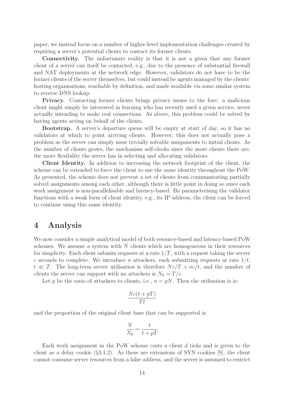paper, we instead focus on a number of higher-level implementation challenges created by requiring a server's potential clients to contact its former clients.

Connectivity. The unfortunate reality is that it is not a given that any former client of a server can itself be contacted, e.g., due to the presence of substantial firewall and NAT deployments at the network edge. However, validators do not have to be the former clients of the server themselves, but could instead be agents managed by the clients' hosting organisations, reachable by definition, and made available via some similar system to reverse DNS lookup.

Privacy. Contacting former clients brings privacy issues to the fore: a malicious client might simply be interested in learning who has recently used a given service, never actually intending to make real connections. As above, this problem could be solved by having agents acting on behalf of the clients.

Bootstrap. A server's departure queue will be empty at start of day, so it has no validators at which to point arriving clients. However, this does not actually pose a problem as the server can simply issue trivially solvable assignments to initial clients. As the number of clients grows, the mechanism self-clocks since the more clients there are, the more flexibility the server has in selecting and allocating validators.

Client Identity. In addition to increasing the network footprint of the client, the scheme can be extended to force the client to use the same identity throughout the PoW. As presented, the scheme does not prevent a set of clients from communicating partially solved assignments among each other, although there is little point in doing so since each work assignment is non-parallelisable and latency-based. By parameterising the validator functions with a weak form of client identity, e.g., its IP address, the client can be forced to continue using this same identity.

## 4 Analysis

We now consider a simple analytical model of both resource-based and latency-based PoW schemes. We assume a system with  $N$  clients which are homogeneous in their resources for simplicity. Each client submits requests at a rate  $1/T$ , with a request taking the server c seconds to complete. We introduce n attackers, each submitting requests at rate  $1/t$ ,  $t \ll T$ . The long-term server utilisation is therefore  $Nc/T + nc/t$ , and the number of clients the server can support with no attackers is  $N_0 = T/c$ .

Let p be the ratio of attackers to clients, i.e.,  $n = pN$ . Then the utilisation is is:

$$
\frac{Nc(t+pT)}{Tt}
$$

and the proportion of the original client base that can be supported is:

$$
\frac{N}{N_0} = \frac{t}{t + pT}
$$

Each work assignment in the PoW scheme costs a client d ticks and is given to the client as a delay cookie  $(\S3.1.2)$ . As these are extensions of SYN cookies [9], the client cannot consume server resources from a false address, and the server is assumed to restrict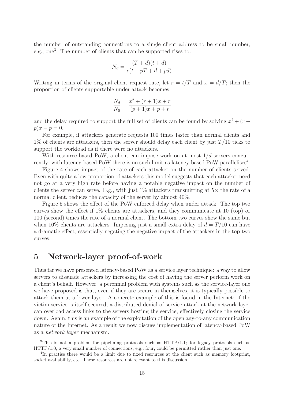the number of outstanding connections to a single client address to be small number, e.g., one<sup>3</sup>. The number of clients that can be supported rises to:

$$
N_d = \frac{(T+d)(t+d)}{c(t+pT+d+pd)}
$$

Writing in terms of the original client request rate, let  $r = t/T$  and  $x = d/T$ ; then the proportion of clients supportable under attack becomes:

$$
\frac{N_d}{N_0} = \frac{x^2 + (r+1)x + r}{(p+1)x + p + r}
$$

and the delay required to support the full set of clients can be found by solving  $x^2 + (r$  $p)x - p = 0.$ 

For example, if attackers generate requests 100 times faster than normal clients and  $1\%$  of clients are attackers, then the server should delay each client by just  $T/10$  ticks to support the workload as if there were no attackers.

With resource-based PoW, a client can impose work on at most  $1/d$  servers concurrently; with latency-based PoW there is no such limit as latency-based PoW parallelises<sup>4</sup>.

Figure 4 shows impact of the rate of each attacker on the number of clients served. Even with quite a low proportion of attackers this model suggests that each attacker need not go at a very high rate before having a notable negative impact on the number of clients the server can serve. E.g., with just  $1\%$  attackers transmitting at  $5\times$  the rate of a normal client, reduces the capacity of the server by almost 40%.

Figure 5 shows the effect of the PoW enforced delay when under attack. The top two curves show the effect if 1% clients are attackers, and they communicate at 10 (top) or 100 (second) times the rate of a normal client. The bottom two curves show the same but when 10% clients are attackers. Imposing just a small extra delay of  $d = T/10$  can have a dramatic effect, essentially negating the negative impact of the attackers in the top two curves.

## 5 Network-layer proof-of-work

Thus far we have presented latency-based PoW as a service layer technique: a way to allow servers to dissuade attackers by increasing the cost of having the server perform work on a client's behalf. However, a perennial problem with systems such as the service-layer one we have proposed is that, even if they are secure in themselves, it is typically possible to attack them at a lower layer. A concrete example of this is found in the Internet: if the victim service is itself secured, a distributed denial-of-service attack at the network layer can overload access links to the servers hosting the service, effectively closing the service down. Again, this is an example of the exploitation of the open any-to-any communication nature of the Internet. As a result we now discuss implementation of latency-based PoW as a network layer mechanism.

<sup>&</sup>lt;sup>3</sup>This is not a problem for pipelining protocols such as  $HTTP/1.1$ ; for legacy protocols such as HTTP/1.0, a very small number of connections, e.g., four, could be permitted rather than just one.

<sup>&</sup>lt;sup>4</sup>In practise there would be a limit due to fixed resources at the client such as memory footprint, socket availability, etc. These resources are not relevant to this discussion.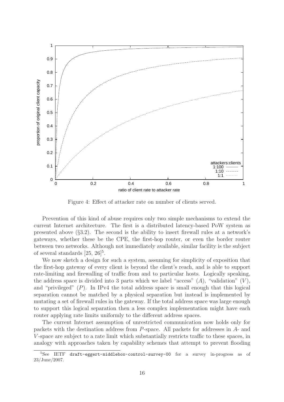

Figure 4: Effect of attacker rate on number of clients served.

Prevention of this kind of abuse requires only two simple mechanisms to extend the current Internet architecture. The first is a distributed latency-based PoW system as presented above (§3.2). The second is the ability to insert firewall rules at a network's gateways, whether these be the CPE, the first-hop router, or even the border router between two networks. Although not immediately available, similar facility is the subject of several standards  $[25, 26]^5$ .

We now sketch a design for such a system, assuming for simplicity of exposition that the first-hop gateway of every client is beyond the client's reach, and is able to support rate-limiting and firewalling of traffic from and to particular hosts. Logically speaking, the address space is divided into 3 parts which we label "access"  $(A)$ , "validation"  $(V)$ , and "privileged"  $(P)$ . In IPv4 the total address space is small enough that this logical separation cannot be matched by a physical separation but instead is implemented by mutating a set of firewall rules in the gateway. If the total address space was large enough to support this logical separation then a less complex implementation might have each router applying rate limits uniformly to the different address spaces.

The current Internet assumption of unrestricted communication now holds only for packets with the destination address from P-space. All packets for addresses in A- and V -space are subject to a rate limit which substantially restricts traffic to these spaces, in analogy with approaches taken by capability schemes that attempt to prevent flooding

<sup>5</sup>See IETF draft-eggert-middlebox-control-survey-00 for a survey in-progress as of 23/June/2007.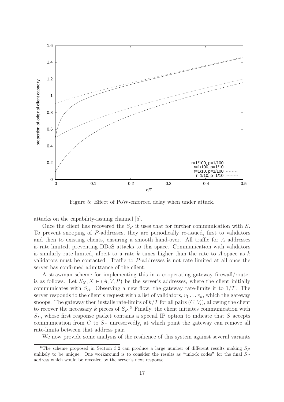

Figure 5: Effect of PoW-enforced delay when under attack.

attacks on the capability-issuing channel [5].

Once the client has recovered the  $S_P$  it uses that for further communication with S. To prevent snooping of P-addresses, they are periodically re-issued, first to validators and then to existing clients, ensuring a smooth hand-over. All traffic for A addresses is rate-limited, preventing DDoS attacks to this space. Communication with validators is similarly rate-limited, albeit to a rate k times higher than the rate to A-space as  $k$ validators must be contacted. Traffic to P-addresses is not rate limited at all once the server has confirmed admittance of the client.

A strawman scheme for implementing this in a cooperating gateway firewall/router is as follows. Let  $S_X, X \in (A, V, P)$  be the server's addresses, where the client initially communicates with  $S_A$ . Observing a new flow, the gateway rate-limits it to  $1/T$ . The server responds to the client's request with a list of validators,  $v_1 \ldots v_n$ , which the gateway snoops. The gateway then installs rate-limits of  $k/T$  for all pairs  $(C, V_i)$ , allowing the client to recover the necessary k pieces of  $S_P$ .<sup>6</sup> Finally, the client initiates communication with  $S_P$ , whose first response packet contains a special IP option to indicate that S accepts communication from  $C$  to  $S_P$  unreservedly, at which point the gateway can remove all rate-limits between that address pair.

We now provide some analysis of the resilience of this system against several variants

<sup>&</sup>lt;sup>6</sup>The scheme proposed in Section 3.2 can produce a large number of different results making  $S_P$ unlikely to be unique. One workaround is to consider the results as "unlock codes" for the final  $S_P$ address which would be revealed by the server's next response.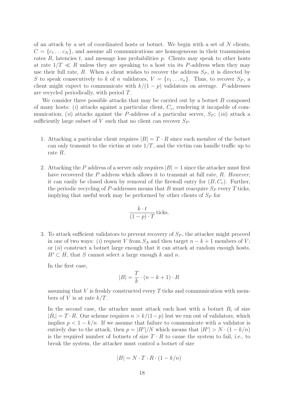of an attack by a set of coordinated hosts or botnet. We begin with a set of  $N$  clients,  $C = \{c_1 \dots c_N\}$ , and assume all communications are homogeneous in their transmission rates  $R$ , latencies  $t$ , and message loss probabilities  $p$ . Clients may speak to other hosts at rate  $1/T \ll R$  unless they are speaking to a host via its P-address when they may use their full rate, R. When a client wishes to recover the address  $S_p$ , it is directed by S to speak consecutively to k of n validators,  $V = \{v_1 \dots v_n\}$ . Thus, to recover  $S_P$ , a client might expect to communicate with  $k/(1-p)$  validators on average. P-addresses are recycled periodically, with period T.

We consider three possible attacks that may be carried out by a botnet  $B$  composed of many hosts: (i) attacks against a particular client,  $C_v$ , rendering it incapable of communication; *(ii)* attacks against the P-address of a particular server,  $S_P$ ; *(iii)* attack a sufficiently large subset of  $V$  such that no client can recover  $S_P$ .

- 1. Attacking a particular client requires  $|B| = T \cdot R$  since each member of the botnet can only transmit to the victim at rate  $1/T$ , and the victim can handle traffic up to rate R.
- 2. Attacking the P address of a server only requires  $|B|=1$  since the attacker must first have recovered the  $P$  address which allows it to transmit at full rate,  $R$ . However, it can easily be closed down by removal of the firewall entry for  $(B, C_v)$ . Further, the periodic recycling of P-addresses means that B must reacquire  $S_P$  every T ticks, implying that useful work may be performed by other clients of  $S_P$  for

$$
\frac{k \cdot t}{(1-p) \cdot T}
$$
ticks.

3. To attack sufficient validators to prevent recovery of  $S_P$ , the attacker might proceed in one of two ways: (i) request V from  $S_A$  and then target  $n - k + 1$  members of V; or  $(ii)$  construct a botnet large enough that it can attack at random enough hosts,  $H' \subset H$ , that S cannot select a large enough k and n.

In the first case,

$$
|B| = \frac{T}{k} \cdot (n - k + 1) \cdot R
$$

assuming that  $V$  is freshly constructed every  $T$  ticks and communication with members of V is at rate  $k/T$ .

In the second case, the attacker must attack each host with a botnet  $B_i$  of size  $|B_i| = T \cdot R$ . Our scheme requires  $n > k/(1-p)$  lest we run out of validators, which implies  $p < 1 - k/n$ . If we assume that failure to communicate with a validator is entirely due to the attack, then  $p = |H'|/N$  which means that  $|H'| > N \cdot (1 - k/n)$ is the required number of botnets of size  $T \cdot R$  to cause the system to fail, i.e., to break the system, the attacker must control a botnet of size

$$
|B| = N \cdot T \cdot R \cdot (1 - k/n)
$$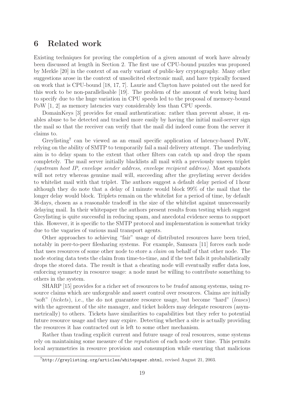## 6 Related work

Existing techniques for proving the completion of a given amount of work have already been discussed at length in Section 2. The first use of CPU-bound puzzles was proposed by Merkle [20] in the context of an early variant of public-key cryptography. Many other suggestions arose in the context of unsolicited electronic mail, and have typically focused on work that is CPU-bound [18, 17, 7]. Laurie and Clayton have pointed out the need for this work to be non-parallelisable [19]. The problem of the amount of work being hard to specify due to the huge variation in CPU speeds led to the proposal of memory-bound PoW [1, 2] as memory latencies vary considerably less than CPU speeds.

DomainKeys [3] provides for email authentication: rather than prevent abuse, it enables abuse to be detected and tracked more easily by having the initial mail-server sign the mail so that the receiver can verify that the mail did indeed come from the server it claims to.

Greylisting<sup>7</sup> can be viewed as an email specific application of latency-based PoW, relying on the ability of SMTP to temporarily fail a mail delivery attempt. The underlying aim is to delay spam to the extent that other filters can catch up and drop the spam completely. The mail server initially blacklists all mail with a previously unseen triplet (upstream host IP, envelope sender address, envelope recipient address). Most spambots will not retry whereas genuine mail will, succeeding after the greylisting server decides to whitelist mail with that triplet. The authors suggest a default delay period of 1 hour although they do note that a delay of 1 minute would block 99% of the mail that the longer delay would block. Triplets remain on the whitelist for a period of time, by default 36 days, chosen as a reasonable tradeoff in the size of the whitelist against unnecessarily delaying mail. In their whitepaper the authors present results from testing which suggest Greylisting is quite successful in reducing spam, and anecdotal evidence seems to support this. However, it is specific to the SMTP protocol and implementation is somewhat tricky due to the vagaries of various mail transport agents.

Other approaches to achieving "fair" usage of distributed resources have been tried, notably in peer-to-peer filesharing systems. For example, Samsara [11] forces each node that uses resources of some other node to store a claim on behalf of that other node. The node storing data tests the claim from time-to-time, and if the test fails it probabilistically drops the stored data. The result is that a cheating node will eventually suffer data loss, enforcing symmetry in resource usage: a node must be willing to contribute something to others in the system.

SHARP [15] provides for a richer set of resources to be *traded* among systems, using resource claims which are unforgeable and assert control over resources. Claims are initially "soft" *(tickets)*, i.e., the do not guarantee resource usage, but become "hard" *(leases)* with the agreement of the site manager, and ticket holders may delegate resources (asymmetrically) to others. Tickets have similarities to capabilities but they refer to potential future resource usage and they may expire. Detecting whether a site is actually providing the resources it has contracted out is left to some other mechanism.

Rather than trading explicit current and future usage of real resources, some systems rely on maintaining some measure of the reputation of each node over time. This permits local asymmetries in resource provision and consumption while ensuring that malicious

 $7$ http://greylisting.org/articles/whitepaper.shtml, revised August 21, 2003.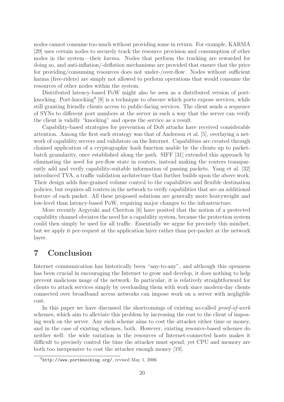nodes cannot consume too much without providing some in return. For example, KARMA [29] uses certain nodes to securely track the resource provision and consumption of other nodes in the system—their karma. Nodes that perform the tracking are rewarded for doing so, and anti-inflation/-deflation mechanisms are provided that ensure that the price for providing/consuming resources does not under-/over-flow. Nodes without sufficient karma (free-riders) are simply not allowed to perform operations that would consume the resources of other nodes within the system.

Distributed latency-based PoW might also be seen as a distributed version of portknocking. Port-knocking<sup>8</sup> [8] is a technique to obscure which ports expose services, while still granting friendly clients access to public-facing services. The client sends a sequence of SYNs to different port numbers at the server in such a way that the server can verify the client is validly "knocking" and opens the service as a result.

Capability-based strategies for prevention of DoS attacks have received considerable attention. Among the first such strategy was that of Anderson et al. [5], overlaying a network of capability servers and validators on the Internet. Capabilities are created through chained application of a cryptographic hash function usable by the clients up to packetbatch granularity, once established along the path. SIFF [31] extended this approach by eliminating the need for per-flow state in routers, instead making the routers transparently add and verify capability-suitable information of passing packets. Yang et al. [32] introduced TVA, a traffic validation architecture that further builds upon the above work. Their design adds fine-grained volume control to the capabilities and flexible destination policies, but requires all routers in the network to verify capabilities that are an additional feature of each packet. All these proposed solutions are generally more heavyweight and low-level than latency-based PoW, requiring major changes to the infrastructure.

More recently Argyraki and Cheriton [6] have posited that the notion of a protected capability channel obviates the need for a capability system, because the protection system could then simply be used for all traffic. Essentially we argue for precisely this mindset, but we apply it per-request at the application layer rather than per-packet at the network layer.

# 7 Conclusion

Internet communication has historically been "any-to-any", and although this openness has been crucial in encouraging the Internet to grow and develop, it does nothing to help prevent malicious usage of the network. In particular, it is relatively straightforward for clients to attack services simply by overloading them with work since modern-day clients connected over broadband access networks can impose work on a server with negligible cost.

In this paper we have discussed the shortcomings of existing so-called proof-of-work schemes, which aim to alleviate this problem by increasing the cost to the client of imposing work on the server. Any such scheme aims to cost the attacker either time or money, and in the case of existing schemes, both. However, existing resource-based schemes do neither well: the wide variation in the resources of Internet-connected hosts makes it difficult to precisely control the time the attacker must spend; yet CPU and memory are both too inexpensive to cost the attacker enough money [19].

 $8$ http://www.portknocking.org/, revised May 1, 2006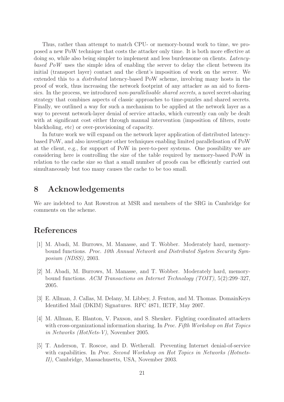Thus, rather than attempt to match CPU- or memory-bound work to time, we proposed a new PoW technique that costs the attacker only time. It is both more effective at doing so, while also being simpler to implement and less burdensome on clients. Latencybased  $PoW$  uses the simple idea of enabling the server to delay the client between its initial (transport layer) contact and the client's imposition of work on the server. We extended this to a distributed latency-based PoW scheme, involving many hosts in the proof of work, thus increasing the network footprint of any attacker as an aid to forensics. In the process, we introduced *non-parallelisable shared secrets*, a novel secret-sharing strategy that combines aspects of classic approaches to time-puzzles and shared secrets. Finally, we outlined a way for such a mechanism to be applied at the network layer as a way to prevent network-layer denial of service attacks, which currently can only be dealt with at significant cost either through manual intervention (imposition of filters, route blackholing, etc) or over-provisioning of capacity.

In future work we will expand on the network layer application of distributed latencybased PoW, and also investigate other techniques enabling limited parallelisation of PoW at the client, e.g., for support of PoW in peer-to-peer systems. One possibility we are considering here is controlling the size of the table required by memory-based PoW in relation to the cache size so that a small number of proofs can be efficiently carried out simultaneously but too many causes the cache to be too small.

## 8 Acknowledgements

We are indebted to Ant Rowstron at MSR and members of the SRG in Cambridge for comments on the scheme.

## References

- [1] M. Abadi, M. Burrows, M. Manasse, and T. Wobber. Moderately hard, memorybound functions. Proc. 10th Annual Network and Distributed System Security Symposium (NDSS), 2003.
- [2] M. Abadi, M. Burrows, M. Manasse, and T. Wobber. Moderately hard, memorybound functions. ACM Transactions on Internet Technology (TOIT), 5(2):299–327, 2005.
- [3] E. Allman, J. Callas, M. Delany, M. Libbey, J. Fenton, and M. Thomas. DomainKeys Identified Mail (DKIM) Signatures. RFC 4871, IETF, May 2007.
- [4] M. Allman, E. Blanton, V. Paxson, and S. Shenker. Fighting coordinated attackers with cross-organizational information sharing. In Proc. Fifth Workshop on Hot Topics in Networks (HotNets-V), November 2005.
- [5] T. Anderson, T. Roscoe, and D. Wetherall. Preventing Internet denial-of-service with capabilities. In Proc. Second Workshop on Hot Topics in Networks (Hotnets-II), Cambridge, Massachusetts, USA, November 2003.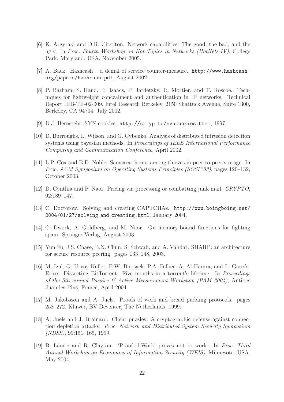- [6] K. Argyraki and D.R. Cheriton. Network capabilities: The good, the bad, and the ugly. In Proc. Fourth Workshop on Hot Topics in Networks (HotNets-IV), College Park, Maryland, USA, November 2005.
- [7] A. Back. Hashcash a denial of service counter-measure. http://www.hashcash. org/papers/hashcash.pdf, August 2002.
- [8] P. Barham, S. Hand, R. Isaacs, P. Jardetzky, R. Mortier, and T. Roscoe. Techniques for lightweight concealment and authentication in IP networks. Technical Report IRB-TR-02-009, Intel Research Berkeley, 2150 Shattuck Avenue, Suite 1300, Berkeley, CA 94704, July 2002.
- [9] D.J. Bernstein. SYN cookies. http://cr.yp.to/syncookies.html, 1997.
- [10] D. Burroughs, L. Wilson, and G. Cybenko. Analysis of distributed intrusion detection systems using bayesian methods. In Proceedings of IEEE International Performance Computing and Communication Conference, April 2002.
- [11] L.P. Cox and B.D. Noble. Samsara: honor among thieves in peer-to-peer storage. In Proc. ACM Symposium on Operating Systems Principles (SOSP'03), pages 120–132, October 2003.
- [12] D. Cynthia and P. Naor. Pricing via processing or combatting junk mail. CRYPTO, 92:139–147.
- [13] C. Doctorow. Solving and creating CAPTCHAs. http://www.boingboing.net/ 2004/01/27/solving and creating.html, January 2004.
- [14] C. Dwork, A. Goldberg, and M. Naor. On memory-bound functions for fighting spam. Springer Verlag, August 2003.
- [15] Yun Fu, J.S. Chase, B.N. Chun, S. Schwab, and A. Vahdat. SHARP: an architecture for secure resource peering. pages 133–148, 2003.
- [16] M. Izal, G. Urvoy-Keller, E.W. Biersack, P.A. Felber, A. Al Hamra, and L. Garcés-Erice. Dissecting BitTorrent: Five months in a torrent's lifetime. In Proceedings of the 5th anuual Passive  $\mathcal{C}$  Active Measurement Workshop (PAM 2004), Antibes Juan-les-Pins, France, April 2004.
- [17] M. Jakobsson and A. Juels. Proofs of work and bread pudding protocols. pages 258–272. Kluwer, BV Deventer, The Netherlands, 1999.
- [18] A. Juels and J. Brainard. Client puzzles: A cryptographic defense against connection depletion attacks. Proc. Network and Distributed System Security Symposium (NDSS), 99:151–165, 1999.
- [19] B. Laurie and R. Clayton. 'Proof-of-Work' proves not to work. In Proc. Third Annual Workshop on Economics of Information Security (WEIS), Minnesota, USA, May 2004.